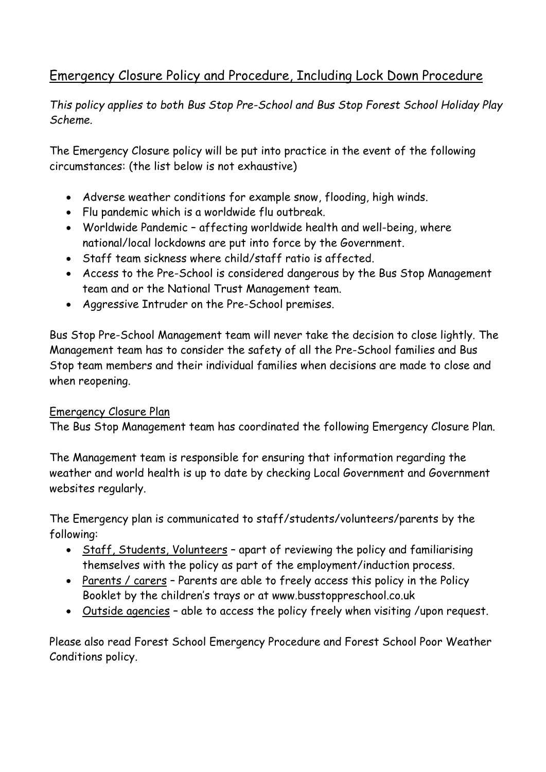# Emergency Closure Policy and Procedure, Including Lock Down Procedure

*This policy applies to both Bus Stop Pre-School and Bus Stop Forest School Holiday Play Scheme.*

The Emergency Closure policy will be put into practice in the event of the following circumstances: (the list below is not exhaustive)

- Adverse weather conditions for example snow, flooding, high winds.
- Flu pandemic which is a worldwide flu outbreak.
- Worldwide Pandemic affecting worldwide health and well-being, where national/local lockdowns are put into force by the Government.
- Staff team sickness where child/staff ratio is affected.
- Access to the Pre-School is considered dangerous by the Bus Stop Management team and or the National Trust Management team.
- Aggressive Intruder on the Pre-School premises.

Bus Stop Pre-School Management team will never take the decision to close lightly. The Management team has to consider the safety of all the Pre-School families and Bus Stop team members and their individual families when decisions are made to close and when reopening.

#### Emergency Closure Plan

The Bus Stop Management team has coordinated the following Emergency Closure Plan.

The Management team is responsible for ensuring that information regarding the weather and world health is up to date by checking Local Government and Government websites regularly.

The Emergency plan is communicated to staff/students/volunteers/parents by the following:

- Staff, Students, Volunteers apart of reviewing the policy and familiarising themselves with the policy as part of the employment/induction process.
- Parents / carers Parents are able to freely access this policy in the Policy Booklet by the children's trays or at www.busstoppreschool.co.uk
- Outside agencies able to access the policy freely when visiting /upon request.

Please also read Forest School Emergency Procedure and Forest School Poor Weather Conditions policy.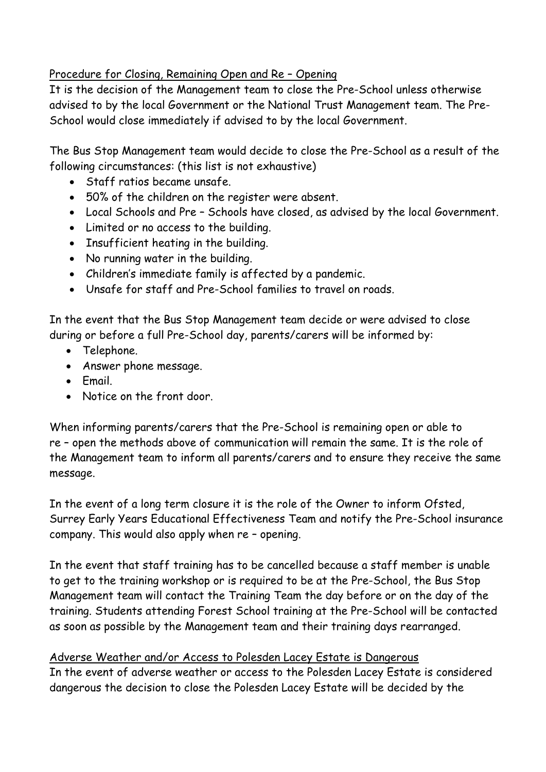Procedure for Closing, Remaining Open and Re – Opening

It is the decision of the Management team to close the Pre-School unless otherwise advised to by the local Government or the National Trust Management team. The Pre-School would close immediately if advised to by the local Government.

The Bus Stop Management team would decide to close the Pre-School as a result of the following circumstances: (this list is not exhaustive)

- Staff ratios became unsafe.
- 50% of the children on the register were absent.
- Local Schools and Pre Schools have closed, as advised by the local Government.
- Limited or no access to the building.
- Insufficient heating in the building.
- No running water in the building.
- Children's immediate family is affected by a pandemic.
- Unsafe for staff and Pre-School families to travel on roads.

In the event that the Bus Stop Management team decide or were advised to close during or before a full Pre-School day, parents/carers will be informed by:

- Telephone.
- Answer phone message.
- Email.
- Notice on the front door.

When informing parents/carers that the Pre-School is remaining open or able to re – open the methods above of communication will remain the same. It is the role of the Management team to inform all parents/carers and to ensure they receive the same message.

In the event of a long term closure it is the role of the Owner to inform Ofsted, Surrey Early Years Educational Effectiveness Team and notify the Pre-School insurance company. This would also apply when re – opening.

In the event that staff training has to be cancelled because a staff member is unable to get to the training workshop or is required to be at the Pre-School, the Bus Stop Management team will contact the Training Team the day before or on the day of the training. Students attending Forest School training at the Pre-School will be contacted as soon as possible by the Management team and their training days rearranged.

Adverse Weather and/or Access to Polesden Lacey Estate is Dangerous In the event of adverse weather or access to the Polesden Lacey Estate is considered dangerous the decision to close the Polesden Lacey Estate will be decided by the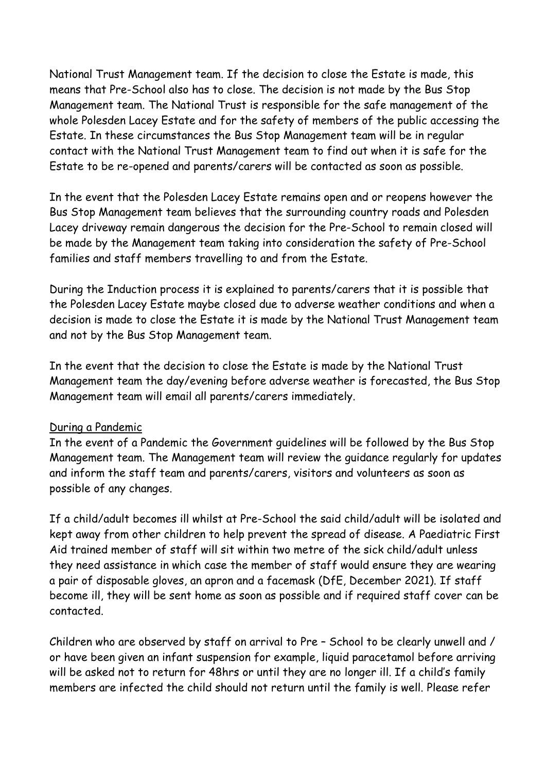National Trust Management team. If the decision to close the Estate is made, this means that Pre-School also has to close. The decision is not made by the Bus Stop Management team. The National Trust is responsible for the safe management of the whole Polesden Lacey Estate and for the safety of members of the public accessing the Estate. In these circumstances the Bus Stop Management team will be in regular contact with the National Trust Management team to find out when it is safe for the Estate to be re-opened and parents/carers will be contacted as soon as possible.

In the event that the Polesden Lacey Estate remains open and or reopens however the Bus Stop Management team believes that the surrounding country roads and Polesden Lacey driveway remain dangerous the decision for the Pre-School to remain closed will be made by the Management team taking into consideration the safety of Pre-School families and staff members travelling to and from the Estate.

During the Induction process it is explained to parents/carers that it is possible that the Polesden Lacey Estate maybe closed due to adverse weather conditions and when a decision is made to close the Estate it is made by the National Trust Management team and not by the Bus Stop Management team.

In the event that the decision to close the Estate is made by the National Trust Management team the day/evening before adverse weather is forecasted, the Bus Stop Management team will email all parents/carers immediately.

#### During a Pandemic

In the event of a Pandemic the Government guidelines will be followed by the Bus Stop Management team. The Management team will review the guidance regularly for updates and inform the staff team and parents/carers, visitors and volunteers as soon as possible of any changes.

If a child/adult becomes ill whilst at Pre-School the said child/adult will be isolated and kept away from other children to help prevent the spread of disease. A Paediatric First Aid trained member of staff will sit within two metre of the sick child/adult unless they need assistance in which case the member of staff would ensure they are wearing a pair of disposable gloves, an apron and a facemask (DfE, December 2021). If staff become ill, they will be sent home as soon as possible and if required staff cover can be contacted.

Children who are observed by staff on arrival to Pre – School to be clearly unwell and / or have been given an infant suspension for example, liquid paracetamol before arriving will be asked not to return for 48hrs or until they are no longer ill. If a child's family members are infected the child should not return until the family is well. Please refer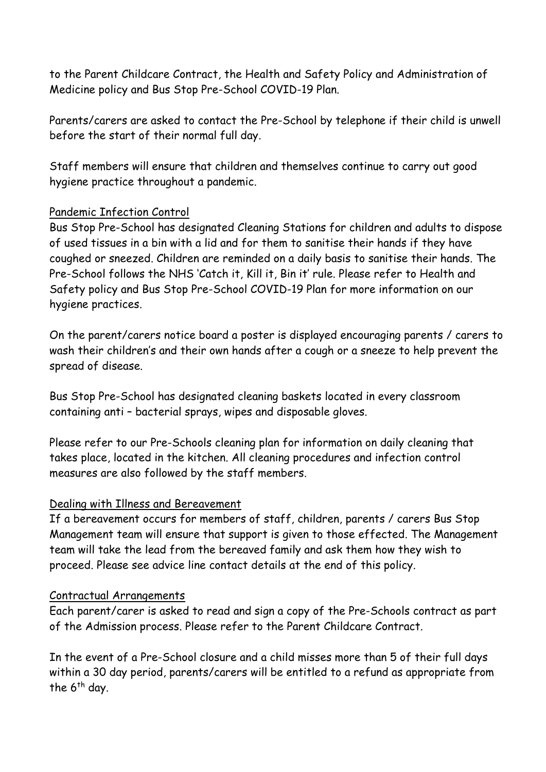to the Parent Childcare Contract, the Health and Safety Policy and Administration of Medicine policy and Bus Stop Pre-School COVID-19 Plan.

Parents/carers are asked to contact the Pre-School by telephone if their child is unwell before the start of their normal full day.

Staff members will ensure that children and themselves continue to carry out good hygiene practice throughout a pandemic.

## Pandemic Infection Control

Bus Stop Pre-School has designated Cleaning Stations for children and adults to dispose of used tissues in a bin with a lid and for them to sanitise their hands if they have coughed or sneezed. Children are reminded on a daily basis to sanitise their hands. The Pre-School follows the NHS 'Catch it, Kill it, Bin it' rule. Please refer to Health and Safety policy and Bus Stop Pre-School COVID-19 Plan for more information on our hygiene practices.

On the parent/carers notice board a poster is displayed encouraging parents / carers to wash their children's and their own hands after a cough or a sneeze to help prevent the spread of disease.

Bus Stop Pre-School has designated cleaning baskets located in every classroom containing anti – bacterial sprays, wipes and disposable gloves.

Please refer to our Pre-Schools cleaning plan for information on daily cleaning that takes place, located in the kitchen. All cleaning procedures and infection control measures are also followed by the staff members.

#### Dealing with Illness and Bereavement

If a bereavement occurs for members of staff, children, parents / carers Bus Stop Management team will ensure that support is given to those effected. The Management team will take the lead from the bereaved family and ask them how they wish to proceed. Please see advice line contact details at the end of this policy.

#### Contractual Arrangements

Each parent/carer is asked to read and sign a copy of the Pre-Schools contract as part of the Admission process. Please refer to the Parent Childcare Contract.

In the event of a Pre-School closure and a child misses more than 5 of their full days within a 30 day period, parents/carers will be entitled to a refund as appropriate from the  $6<sup>th</sup>$  day.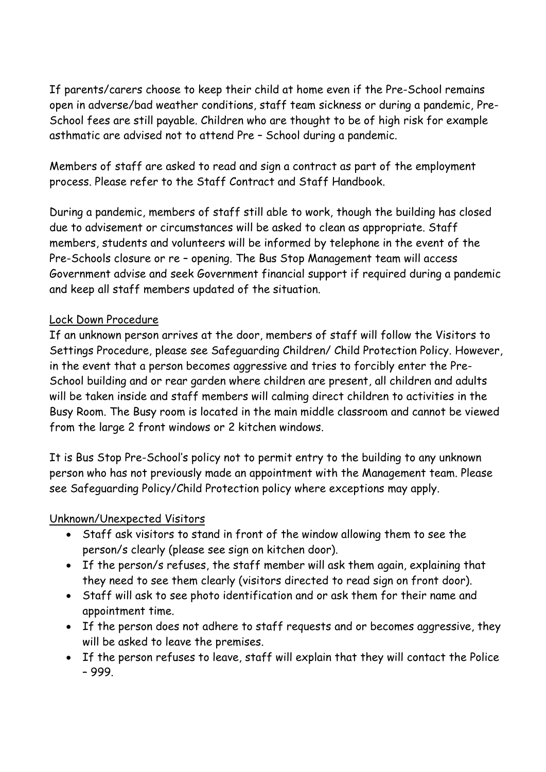If parents/carers choose to keep their child at home even if the Pre-School remains open in adverse/bad weather conditions, staff team sickness or during a pandemic, Pre-School fees are still payable. Children who are thought to be of high risk for example asthmatic are advised not to attend Pre – School during a pandemic.

Members of staff are asked to read and sign a contract as part of the employment process. Please refer to the Staff Contract and Staff Handbook.

During a pandemic, members of staff still able to work, though the building has closed due to advisement or circumstances will be asked to clean as appropriate. Staff members, students and volunteers will be informed by telephone in the event of the Pre-Schools closure or re – opening. The Bus Stop Management team will access Government advise and seek Government financial support if required during a pandemic and keep all staff members updated of the situation.

# Lock Down Procedure

If an unknown person arrives at the door, members of staff will follow the Visitors to Settings Procedure, please see Safeguarding Children/ Child Protection Policy. However, in the event that a person becomes aggressive and tries to forcibly enter the Pre-School building and or rear garden where children are present, all children and adults will be taken inside and staff members will calming direct children to activities in the Busy Room. The Busy room is located in the main middle classroom and cannot be viewed from the large 2 front windows or 2 kitchen windows.

It is Bus Stop Pre-School's policy not to permit entry to the building to any unknown person who has not previously made an appointment with the Management team. Please see Safeguarding Policy/Child Protection policy where exceptions may apply.

## Unknown/Unexpected Visitors

- Staff ask visitors to stand in front of the window allowing them to see the person/s clearly (please see sign on kitchen door).
- If the person/s refuses, the staff member will ask them again, explaining that they need to see them clearly (visitors directed to read sign on front door).
- Staff will ask to see photo identification and or ask them for their name and appointment time.
- If the person does not adhere to staff requests and or becomes aggressive, they will be asked to leave the premises.
- If the person refuses to leave, staff will explain that they will contact the Police – 999.